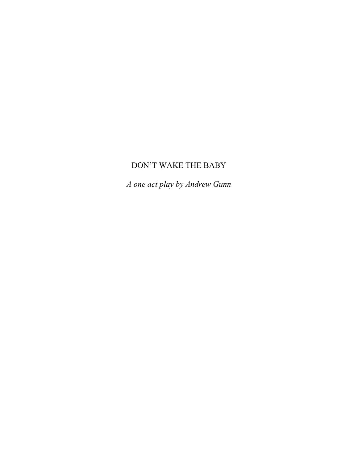# DON'T WAKE THE BABY

*A one act play by Andrew Gunn*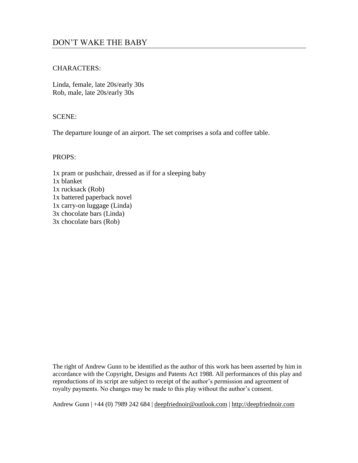# CHARACTERS:

Linda, female, late 20s/early 30s Rob, male, late 20s/early 30s

# SCENE:

The departure lounge of an airport. The set comprises a sofa and coffee table.

# PROPS:

1x pram or pushchair, dressed as if for a sleeping baby 1x blanket 1x rucksack (Rob) 1x battered paperback novel 1x carry-on luggage (Linda) 3x chocolate bars (Linda) 3x chocolate bars (Rob)

The right of Andrew Gunn to be identified as the author of this work has been asserted by him in accordance with the Copyright, Designs and Patents Act 1988. All performances of this play and reproductions of its script are subject to receipt of the author's permission and agreement of royalty payments. No changes may be made to this play without the author's consent.

Andrew Gunn | +44 (0) 7989 242 684 | <u>deepfriednoir@outlook.com</u> | [http://deepfriednoir.com](http://deepfriednoir.com/)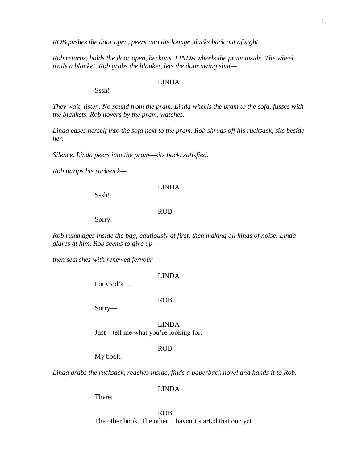*ROB pushes the door open, peers into the lounge, ducks back out of sight.*

*Rob returns, holds the door open, beckons. LINDA wheels the pram inside. The wheel trails a blanket. Rob grabs the blanket, lets the door swing shut—*

#### LINDA

Sssh!

*They wait, listen. No sound from the pram. Linda wheels the pram to the sofa, fusses with the blankets. Rob hovers by the pram, watches.*

*Linda eases herself into the sofa next to the pram. Rob shrugs off his rucksack, sits beside her.*

*Silence. Linda peers into the pram—sits back, satisfied.*

*Rob unzips his rucksack—*

### LINDA

Sssh!

### ROB

Sorry.

*Rob rummages inside the bag, cautiously at first, then making all kinds of noise. Linda glares at him. Rob seems to give up—*

*then searches with renewed fervour—*

### LINDA

For  $God's \dots$ 

### ROB

Sorry—

LINDA Just—tell me what you're looking for.

# ROB

My book.

*Linda grabs the rucksack, reaches inside, finds a paperback novel and hands it to Rob.*

# LINDA

There:

ROB The other book. The other, I haven't started that one yet.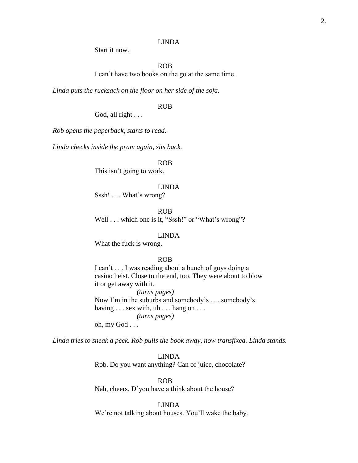# LINDA

Start it now.

ROB

I can't have two books on the go at the same time.

*Linda puts the rucksack on the floor on her side of the sofa.*

ROB

God, all right . . .

*Rob opens the paperback, starts to read.*

*Linda checks inside the pram again, sits back.*

ROB

This isn't going to work.

LINDA

Sssh! . . . What's wrong?

ROB Well . . . which one is it, "Sssh!" or "What's wrong"?

LINDA

What the fuck is wrong.

# ROB

I can't . . . I was reading about a bunch of guys doing a casino heist. Close to the end, too. They were about to blow it or get away with it.

*(turns pages)* Now I'm in the suburbs and somebody's . . . somebody's having . . . sex with, uh . . . hang on . . . *(turns pages)* oh, my God . . .

*Linda tries to sneak a peek. Rob pulls the book away, now transfixed. Linda stands.*

LINDA Rob. Do you want anything? Can of juice, chocolate?

ROB Nah, cheers. D'you have a think about the house?

LINDA We're not talking about houses. You'll wake the baby.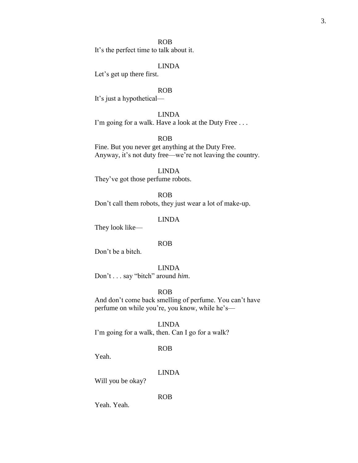# ROB

It's the perfect time to talk about it.

# LINDA

Let's get up there first.

# ROB

It's just a hypothetical—

# LINDA

I'm going for a walk. Have a look at the Duty Free . . .

# ROB

Fine. But you never get anything at the Duty Free. Anyway, it's not duty free—we're not leaving the country.

### LINDA

They've got those perfume robots.

### ROB

Don't call them robots, they just wear a lot of make-up.

# LINDA

They look like—

### ROB

Don't be a bitch.

# LINDA

Don't . . . say "bitch" around *him*.

# ROB

And don't come back smelling of perfume. You can't have perfume on while you're, you know, while he's—

# LINDA

I'm going for a walk, then. Can I go for a walk?

# ROB

Yeah.

### LINDA

Will you be okay?

ROB

Yeah. Yeah.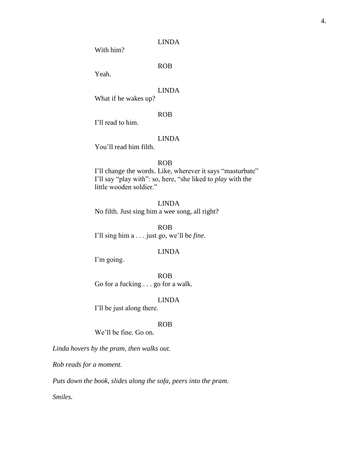# LINDA

With him?

ROB

Yeah.

# LINDA

What if he wakes up?

# ROB

I'll read to him.

# LINDA

You'll read him filth.

# ROB

I'll change the words. Like, wherever it says "masturbate" I'll say "play with": so, here, "she liked to *play* with the little wooden soldier."

LINDA No filth. Just sing him a wee song, all right?

ROB I'll sing him a . . . just go, we'll be *fine*.

# LINDA

I'm going.

ROB Go for a fucking . . . go for a walk.

# LINDA

I'll be just along there.

#### ROB

We'll be fine. Go on.

*Linda hovers by the pram, then walks out.*

*Rob reads for a moment.*

*Puts down the book, slides along the sofa, peers into the pram.*

*Smiles.*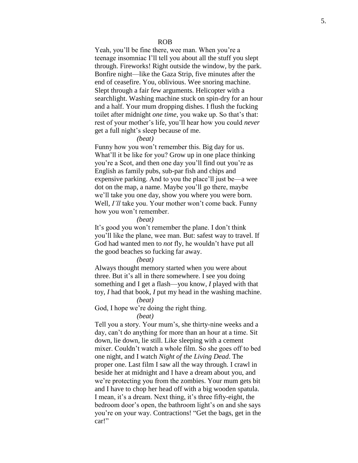Yeah, you'll be fine there, wee man. When you're a teenage insomniac I'll tell you about all the stuff you slept through. Fireworks! Right outside the window, by the park. Bonfire night—like the Gaza Strip , five minutes after the end of ceasefire. You, oblivious. Wee snoring machine. Slept through a fair few arguments. Helicopter with a searchlight. Washing machine stuck on spin -dry for an hour and a half. Your mum dropping dishes . I flush the fucking toilet after midnight *one time*, you wake up. So that's that: rest of your mother's life , you'll hear how you could *never* get a full night's sleep because of me.

### *(beat)*

Funny how you won't remember this. Big day for us. What'll it be like for you? Grow up in one place thinking you're a Scot , and the n one day you'll find out you're as English as family pubs, sub -par fish and chips and expensive parking. And to you the place'll just be —a wee dot on the map, a name. Maybe you'll go there, maybe we'll take you one day, show you where you were born. Well, *I'll* take you. Your mother won't come back. Funny how you won't remember.

### *(beat)*

It's good you won't remember the plane. I don't think you'll like the plane, wee man. But: safest way to travel. If God had wanted men to *not* fly, he wouldn't have put all the good beaches so fucking far away.

### *(beat)*

Always thought memory started when you were about three. But it's all in there somewhere. I see you doing something and I get a flash —you know, *I* played with that toy, *I* had that book, *I* put my head in the washing machine.

### *(beat)*

# God, I hope we're doing the right thing.

### *(beat)*

Tell you a story. Your mum's, she thirty -nine weeks and a day, can't do anything for more than an hour at a time. Sit down, lie down, lie still. Like sleeping with a cement mixer. Couldn't watch a whole film. So she goes off to bed one night, and I watch *Night of the Living Dead*. The proper one. Last film I saw all the way through. I crawl in beside her at midnight and I have a dream about you, and we're protecting you from the zombie s. Your mum gets bit and I have to chop her head off with a big wooden spatula. I mean, it's a dream. Next thing, it's three fifty-eight, the bedroom door's open, the bathroom light's on and she says you're on your way. Contractions! "Get the bags, get in the car!"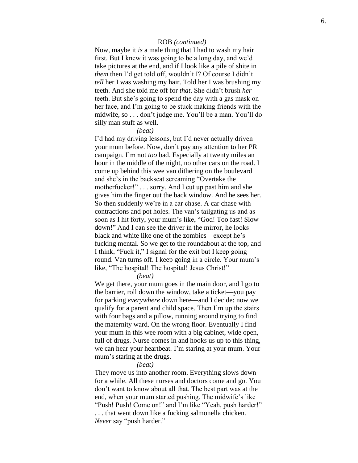# ROB *(continued)*

Now, maybe it *is* a male thing that I had to wash my hair first. But I knew it was going to be a long day, and we'd take pictures at the end, and if I look like a pile of shite in *them* then I'd get told off, wouldn't I? Of course I didn't *tell* her I was washing my hair. Told her I was brushing my teeth. And she told me off for *that*. She didn't brush *her* teeth. But she's going to spend the day with a gas mask on her face, and I'm going to be stuck making friends with the midwife, so . . . don't judge me. You'll be a man. You'll do silly man stuff as well .

### *(beat)*

I'd had my driving lessons, but I'd never actually driven your mum before. Now, don't pay any attention to her PR campaign . I'm not *too* bad. Especially at twenty miles an hour in the middle of the night, no other cars on the road. I come up behind this wee van dithering on the boulevard and she's in the backseat screaming "Overtake the motherfucker!" . . . sorry. And I cut up past him and she gives him the finger out the back window. And he sees her. So then suddenly we're in a car chase. A car chase with contractions and pot holes. The van's tailgating us and as soon as I hit forty, your mum's like, "God! Too fast! Slow down!" And I can see the driver in the mirror, he looks black and white like one of the zombies —except he's fucking mental. So we get to the roundabout at the top, and I think, "Fuck it," I signal for the exit but I keep going round. Van turns off. I keep going in a circle. Your mum's like, "The hospital! The hospital! Jesus Christ!"

*(beat)*

We get there, your mum goes in the main door, and I go to the barrier, roll down the window, take a ticket —you pay for parking *everywhere* down here —and I decide: now we qualify for a parent and child space. Then I'm up the stairs with four bags and a pillow, running around trying to find the maternity ward. On the wrong floor. Eventually I find your mum in this wee room with a big cabinet, wide open, full of drugs. Nurse comes in and hooks us up to this thing, we can hear your heartbeat. I'm staring at your mum. Your mum's staring at the drugs.

# *(beat)*

They move us into another room. Everything slows down for a while. All these nurses and doctors come and go. You don't want to know about all that. The best part was at the end, when your mum started pushing. The midwife's like "Push! Push! Come on!" and I'm like "Yeah, push harder!" . . . that went down like a fucking salmonella chicken. Never say "push harder."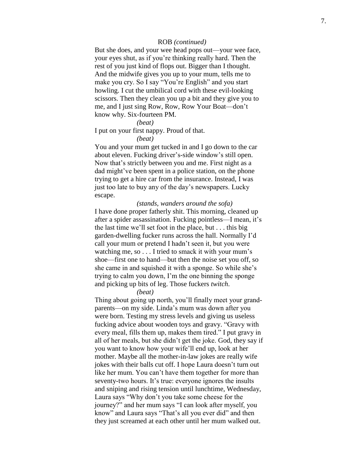# ROB *(continued)*

But she does, and your wee head pops out—your wee face, your eyes shut, as if you're thinking really hard. Then the rest of you just kind of flops out. Bigger than I thought. And the midwife gives you up to your mum, tells me to make you cry. So I say "You're English" and you start howling. I cut the umbilical cord with these evil -looking scissors. Then they clean you up a bit and they give you to me, and I just sing Row, Row, Row Your Boat— don't know why. Six -fourteen PM.

### *(beat)*

# I put on your first nappy. Proud of that.

### *(beat)*

You and your mum get tucked in and I go down to the car about eleven. Fucking driver's -side window's still open . Now that's strictly between you and me. First night as a dad might've been spent in a police station, on the phone trying to get a hire car from the insurance. Instead, I was just too late to buy any of the day's newspapers. Lucky escape.

*(stands, wanders around the sofa )* I have done proper fatherly shit. This morning, cleaned up after a spider assassination. Fucking pointless —I mean, it's the last time we'll set foot in the place, but . . . this big garden -dwelling fucker runs across the hall. Normally I'd call your mum or pretend I hadn't seen it, but you were watching me, so . . . I tried to smack it with your mum's shoe —first one to hand —but then the noise set you off, so she came in and squished it with a sponge. So while she's trying to calm you down, I'm the one binning the sponge and picking up bits of leg. Those fuckers *twitch* .

### *(beat)*

Thing about going up north, you'll finally meet your grand parents —on my side. Linda's mum was down after you were born. Testing my stress levels and giving us useless fucking advice about wooden toys and gravy. "Gravy with every meal, fills them up, makes them tired." I put gravy in all of her meals, but she didn't get the joke. God, they say if you want to know how your wife'll end up, look at her mother. Maybe all the mother -in -law jokes are really wife jokes with their balls cut off . I hope Laura doesn't turn out like her mum. You can't have them together for more than seventy-two hours. It's true: everyone ignores the insults and sniping and rising tension until lunchtime, Wednesday, Laura says "Why don't you take some cheese for the journey?" and her mum says "I can look after myself, you know" and Laura says "That's all you ever did" and then they just screamed at each other until her mum walked out.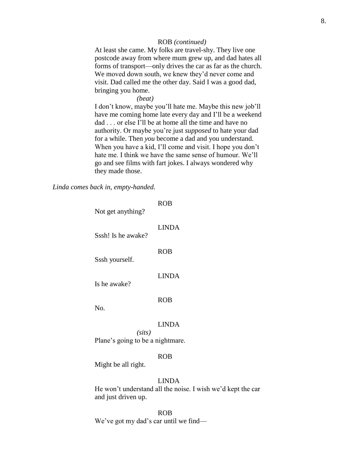# ROB *(continued)*

At least she came. My folks are travel-shy. They live one postcode away from where mum grew up, and dad hates all forms of transport—only drives the car as far as the church. We moved down south, we knew they'd never come and visit. Dad called me the other day. Said I was a good dad, bringing you home.

*(beat)*

I don't know, maybe you'll hate me. Maybe this new job'll have me coming home late every day and I'll be a weekend dad . . . or else I'll be at home all the time and have no authority. Or maybe you're just *supposed* to hate your dad for a while. Then *you* become a dad and you understand. When you have a kid, I'll come and visit. I hope you don't hate me. I think we have the same sense of humour. We'll go and see films with fart jokes. I always wondered why they made those.

*Linda comes back in, empty-handed.*

| Not get anything?                          | ROB          |
|--------------------------------------------|--------------|
| Sssh! Is he awake?                         | <b>LINDA</b> |
| Sssh yourself.                             | ROB          |
| Is he awake?                               | LINDA        |
|                                            | <b>ROB</b>   |
| N <sub>O</sub> .                           | <b>LINDA</b> |
| (sits)<br>Plane's going to be a nightmare. |              |
|                                            | ROB          |

# Might be all right.

# LINDA

He won't understand all the noise. I wish we'd kept the car and just driven up.

# ROB

We've got my dad's car until we find—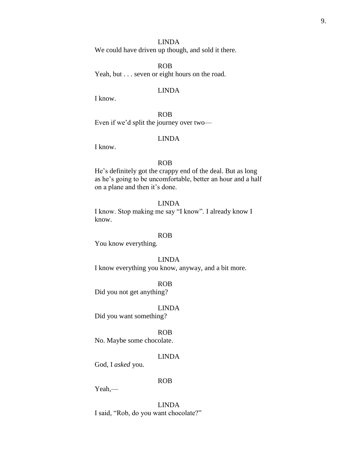# LINDA

We could have driven up though, and sold it there.

ROB Yeah, but . . . seven or eight hours on the road.

# LINDA

I know.

ROB Even if we'd split the journey over two—

# LINDA

I know.

# ROB

He's definitely got the crappy end of the deal. But as long as he's going to be uncomfortable, better an hour and a half on a plane and then it's done.

# LINDA

I know. Stop making me say "I know". I already know I know.

# ROB

You know everything.

### LINDA

I know everything you know, anyway, and a bit more.

ROB

Did you not get anything?

### LINDA

Did you want something?

ROB

No. Maybe some chocolate.

# LINDA

God, I *asked* you.

# ROB

Yeah,—

LINDA I said, "Rob, do you want chocolate?"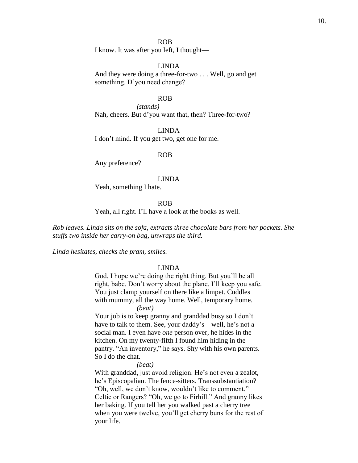### ROB

I know. It was after you left, I thought—

### LINDA

And they were doing a three-for-two . . . Well, go and get something. D'you need change?

### ROB

*(stands)* Nah, cheers. But d'you want that, then? Three-for-two?

### LINDA

I don't mind. If you get two, get one for me.

# ROB

Any preference?

#### LINDA

Yeah, something I hate.

ROB

Yeah, all right. I'll have a look at the books as well.

*Rob leaves. Linda sits on the sofa, extracts three chocolate bars from her pockets. She stuffs two inside her carry-on bag, unwraps the third.*

*Linda hesitates, checks the pram, smiles.*

### LINDA

God, I hope we're doing the right thing. But you'll be all right, babe. Don't worry about the plane. I'll keep you safe. You just clamp yourself on there like a limpet. Cuddles with mummy, all the way home. Well, temporary home.

*(beat)*

Your job is to keep granny and granddad busy so I don't have to talk to them. See, your daddy's—well, he's not a social man. I even have *one* person over, he hides in the kitchen. On my twenty-fifth I found him hiding in the pantry. "An inventory," he says. Shy with his own parents. So I do the chat.

*(beat)*

With granddad, just avoid religion. He's not even a zealot, he's Episcopalian. The fence-sitters. Transsubstantiation? "Oh, well, we don't know, wouldn't like to comment." Celtic or Rangers? "Oh, we go to Firhill." And granny likes her baking. If you tell her you walked past a cherry tree when you were twelve, you'll get cherry buns for the rest of your life.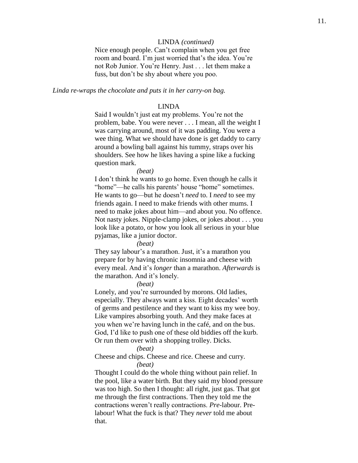# LINDA *(continued)*

Nice enough people. Can't complain when you get free room and board. I'm just worried that's the idea. You're not Rob Junior. You're Henry. Just . . . let them make a fuss, but don't be shy about where you poo.

### *Linda re-wraps the chocolate and puts it in her carry-on bag.*

### LINDA

Said I wouldn't just eat my problems. You're not the problem, babe. You were never . . . I mean, all the weight I was carrying around, most of it was padding. You were a wee thing. What we should have done is get daddy to carry around a bowling ball against his tummy, straps over his shoulders. See how he likes having a spine like a fucking question mark.

#### *(beat)*

I don't think he wants to go home. Even though he calls it "home"—he calls his parents' house "home" sometimes. He wants to go—but he doesn't *need* to. I *need* to see my friends again. I need to make friends with other mums. I need to make jokes about him—and about you. No offence. Not nasty jokes. Nipple-clamp jokes, or jokes about . . . you look like a potato, or how you look all serious in your blue pyjamas, like a junior doctor.

### *(beat)*

They say labour's a marathon. Just, it's a marathon you prepare for by having chronic insomnia and cheese with every meal. And it's *longer* than a marathon. *Afterwards* is the marathon. And it's lonely.

### *(beat)*

Lonely, and you're surrounded by morons. Old ladies, especially. They always want a kiss. Eight decades' worth of germs and pestilence and they want to kiss my wee boy. Like vampires absorbing youth. And they make faces at you when we're having lunch in the café, and on the bus. God, I'd like to push one of these old biddies off the kurb. Or run them over with a shopping trolley. Dicks.

### *(beat)*

Cheese and chips. Cheese and rice. Cheese and curry. *(beat)*

Thought I could do the whole thing without pain relief. In the pool, like a water birth. But they said my blood pressure was too high. So then I thought: all right, just gas. That got me through the first contractions. Then they told me the contractions weren't really contractions. *Pre*-labour. Prelabour! What the fuck is that? They *never* told me about that.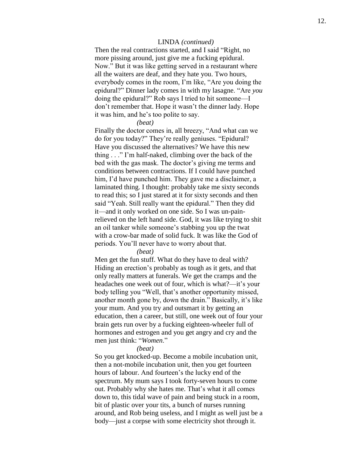### LINDA *(continued)*

Then the real contractions started, and I said "Right, no more pissing around, just give me a fucking epidural. Now." But it was like getting served in a restaurant where all the waiters are deaf, and they hate you. Two hours, everybody comes in the room, I'm like, "Are you doing the epidural?" Dinner lady comes in with my lasagne. "Are *you* doing the epidural?" Rob says I tried to hit someone —I don't remember that. Hope it wasn't the dinner lady. Hope it was him, and he's too polite to say.

### *(beat)*

Finally the doctor comes in, all breezy, "And what can we do for you today?" They're really geniuses. "Epidural? Have you discussed the alternatives? We have this new thing . . ." I'm half-naked, climbing over the back of the bed with the gas mask. The doctor's giving me terms and conditions between contractions. If I could have punched him, I'd have punched him. They gave me a disclaimer, a laminated thing. I thought: probably take me sixty seconds to read this; so I just stared at it for sixty seconds and then said "Yeah. Still really want the epidural." Then they did it—and it only worked on one side. So I was un-painrelieved on the left hand side. God, it was like trying to shit an oil tanker while someone's stabbing you up the twat with a crow -bar made of solid fuck. It was like the God of periods. You'll never have to worry about that.

### *(beat)*

Men get the fun stuff. What do they have to deal with? Hiding an erection's probably as tough as it gets, and that only really matters at funerals. We get the cramps and the headaches one week out of four, which is what?—it's your body telling you "Well, that's another opportunity missed, another month gone by, down the drain." Basically, it's like your mum. And you try and outsmart it by getting an education, then a career, but still, one week out of four your brain gets run over by a fucking eighteen -wheeler full of hormones and estrogen and you get angry and cry and the men just think: " *Women*."

### *(beat)*

So you get knocked -up. Become a mobile incubation unit, then a not -mobile incubation unit, then you get fourteen hours of labour. And fourteen's the lucky end of the spectrum. My mum says I took forty -seven hours to come out. Probably why she hates me. That's what it all comes down to, this tidal wave of pain and being stuck in a room, bit of plastic over your tits, a bunch of nurses running around, and Rob being useless, and I might as well just be a body—just a corpse with some electricity shot through it.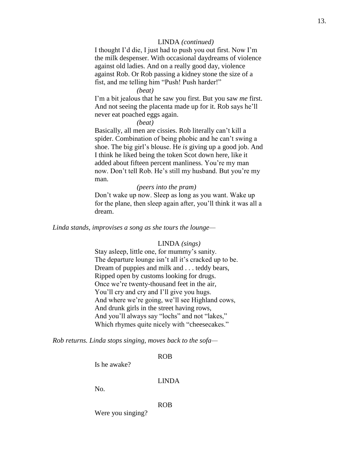# LINDA *(continued)*

I thought I'd die, I just had to push you out first. Now I'm the milk despenser. With occasional daydreams of violence against old ladies. And on a really good day, violence against Rob. Or Rob passing a kidney stone the size of a fist, and me telling him "Push! Push harder!"

# *(beat)*

I'm a bit jealous that he saw you first. But you saw *me* first. And not seeing the placenta made up for it. Rob says he'll never eat poached eggs again.

*(beat)*

Basically, all men are cissies. Rob literally can't kill a spider. Combination of being phobic and he can't swing a shoe. The big girl's blouse. He *is* giving up a good job. And I think he liked being the token Scot down here, like it added about fifteen percent manliness. You're my man now. Don't tell Rob. He's still my husband. But you're my man.

### *(peers into the pram)*

Don't wake up now. Sleep as long as you want. Wake up for the plane, then sleep again after, you'll think it was all a dream.

*Linda stands, improvises a song as she tours the lounge—*

### LINDA *(sings)*

Stay asleep, little one, for mummy's sanity. The departure lounge isn't all it's cracked up to be. Dream of puppies and milk and . . . teddy bears, Ripped open by customs looking for drugs. Once we're twenty-thousand feet in the air, You'll cry and cry and I'll give you hugs. And where we're going, we'll see Highland cows, And drunk girls in the street having rows, And you'll always say "lochs" and not "lakes," Which rhymes quite nicely with "cheesecakes."

*Rob returns. Linda stops singing, moves back to the sofa—*

ROB

Is he awake?

# LINDA

No.

ROB

Were you singing?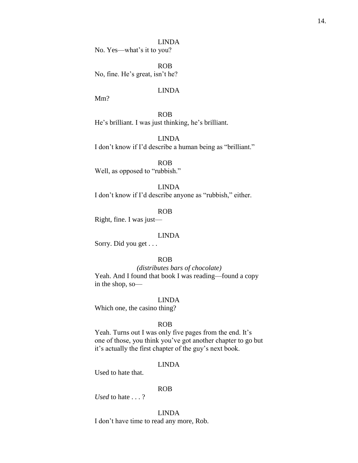LINDA No. Yes—what's it to you?

ROB No, fine. He's great, isn't he?

# LINDA

Mm?

ROB He's brilliant. I was just thinking, he's brilliant.

LINDA I don't know if I'd describe a human being as "brilliant."

ROB Well, as opposed to "rubbish."

LINDA I don't know if I'd describe anyone as "rubbish," either.

ROB

Right, fine. I was just—

### LINDA

Sorry. Did you get . . .

# ROB

*(distributes bars of chocolate)* Yeah. And I found that book I was reading—found a copy in the shop, so—

LINDA

Which one, the casino thing?

### ROB

Yeah. Turns out I was only five pages from the end. It's one of those, you think you've got another chapter to go but it's actually the first chapter of the guy's next book.

# LINDA

Used to hate that.

### ROB

*Used* to hate . . . ?

LINDA

I don't have time to read any more, Rob.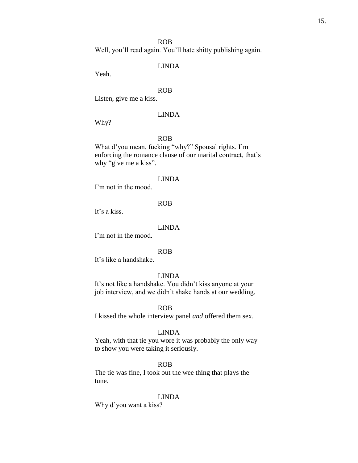### ROB

Well, you'll read again. You'll hate shitty publishing again.

# LINDA

Yeah.

# ROB

Listen, give me a kiss.

# LINDA

Why?

### ROB

What d'you mean, fucking "why?" Spousal rights. I'm enforcing the romance clause of our marital contract, that's why "give me a kiss".

#### LINDA

I'm not in the mood.

### ROB

It's a kiss.

### LINDA

I'm not in the mood.

# ROB

It's like a handshake.

# LINDA

It's not like a handshake. You didn't kiss anyone at your job interview, and we didn't shake hands at our wedding.

### ROB

I kissed the whole interview panel *and* offered them sex.

### LINDA

Yeah, with that tie you wore it was probably the only way to show you were taking it seriously.

### ROB

The tie was fine, I took out the wee thing that plays the tune.

### LINDA

Why d'you want a kiss?